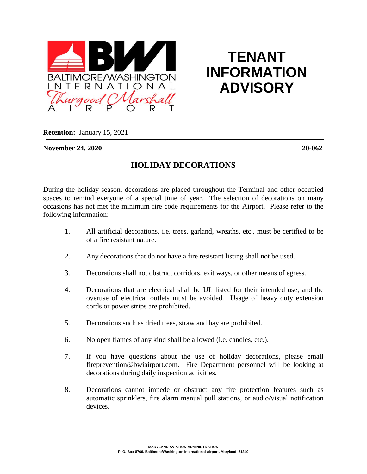

## **TENANT INFORMATION ADVISORY**

**Retention:** January 15, 2021

**November 24, 2020 20-062**

## **HOLIDAY DECORATIONS**

During the holiday season, decorations are placed throughout the Terminal and other occupied spaces to remind everyone of a special time of year. The selection of decorations on many occasions has not met the minimum fire code requirements for the Airport. Please refer to the following information:

- 1. All artificial decorations, i.e. trees, garland, wreaths, etc., must be certified to be of a fire resistant nature.
- 2. Any decorations that do not have a fire resistant listing shall not be used.
- 3. Decorations shall not obstruct corridors, exit ways, or other means of egress.
- 4. Decorations that are electrical shall be UL listed for their intended use, and the overuse of electrical outlets must be avoided. Usage of heavy duty extension cords or power strips are prohibited.
- 5. Decorations such as dried trees, straw and hay are prohibited.
- 6. No open flames of any kind shall be allowed (i.e. candles, etc.).
- 7. If you have questions about the use of holiday decorations, please email fireprevention@bwiairport.com. Fire Department personnel will be looking at decorations during daily inspection activities.
- 8. Decorations cannot impede or obstruct any fire protection features such as automatic sprinklers, fire alarm manual pull stations, or audio/visual notification devices.